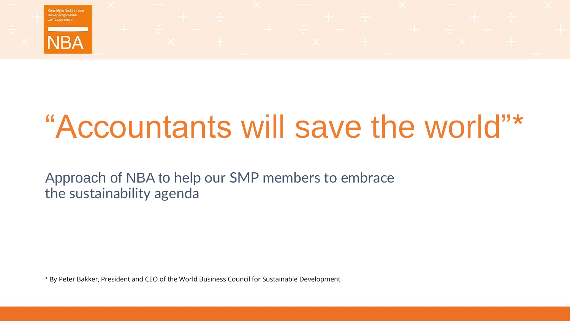

# "Accountants will save the world"\*

Approach of NBA to help our SMP members to embrace the sustainability agenda

\* By Peter Bakker, President and CEO of the World Business Council for Sustainable Development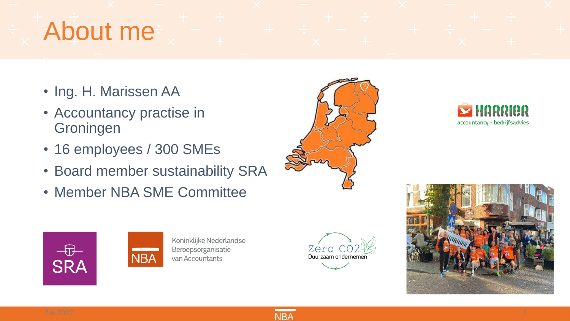## About me

- Ing. H. Marissen AA
- Accountancy practise in **Groningen**
- 16 employees / 300 SMEs
- Board member sustainability SRA
- Member NBA SME Committee









Koninklijke Nederlandse Beroepsorganisatie van Accountants





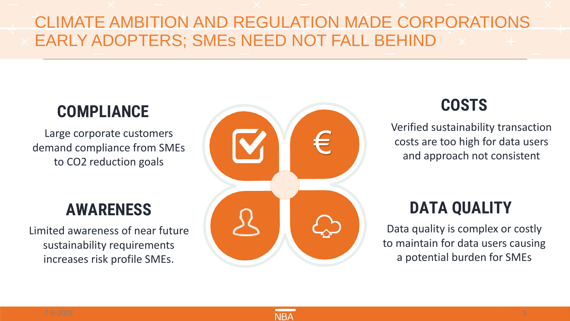#### CLIMATE AMBITION AND REGULATION MADE CORPORATIONS EARLY ADOPTERS; SMEs NEED NOT FALL BEHIND

### **COMPLIANCE**

Large corporate customers demand compliance from SMEs to CO2 reduction goals

#### **AWARENESS**

Limited awareness of near future sustainability requirements increases risk profile SMEs.



## **COSTS**

Verified sustainability transaction costs are too high for data users and approach not consistent

## **DATA QUALITY**

Data quality is complex or costly to maintain for data users causing a potential burden for SMEs

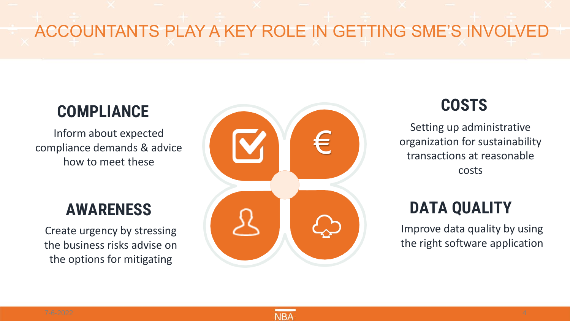## ACCOUNTANTS PLAY A KEY ROLE IN GETTING SME'S INVOLVED

### **COMPLIANCE**

Inform about expected compliance demands & advice how to meet these

#### **AWARENESS**

Create urgency by stressing the business risks advise on the options for mitigating



## **COSTS**

Setting up administrative organization for sustainability transactions at reasonable costs

## **DATA QUALITY**

Improve data quality by using the right software application

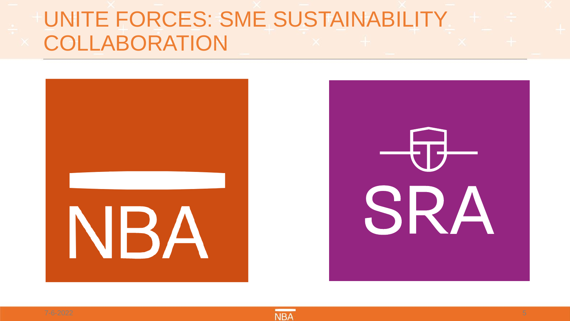## UNITE FORCES: SME SUSTAINABILITY COLLABORATION





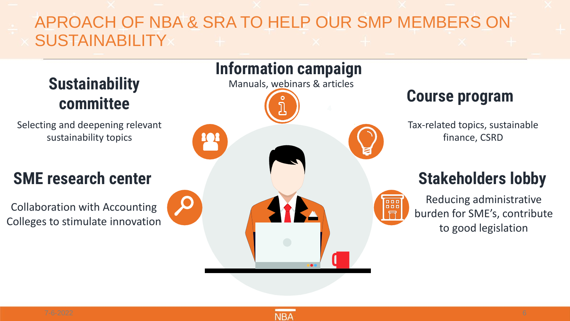#### APROACH OF NBA & SRA TO HELP OUR SMP MEMBERS ON **SUSTAINABILITY**

**Sustainability committee**

Selecting and deepening relevant sustainability topics

## **SME research center**

Collaboration with Accounting Colleges to stimulate innovation



#### **Course program**

Tax-related topics, sustainable finance, CSRD

## **Stakeholders lobby**

Reducing administrative burden for SME's, contribute to good legislation